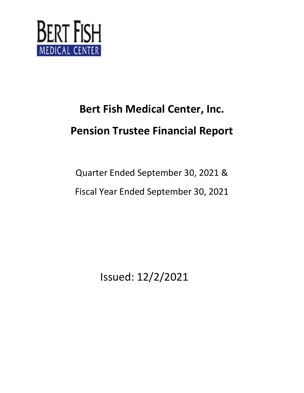

Quarter Ended September 30, 2021 & Fiscal Year Ended September 30, 2021

Issued: 12/2/2021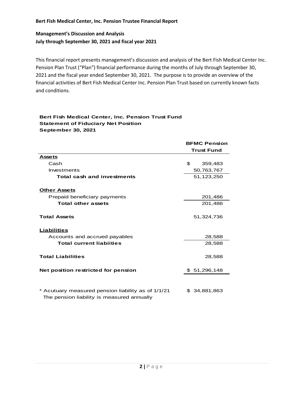## **Management's Discussion and Analysis July through September 30, 2021 and fiscal year 2021**

This financial report presents management's discussion and analysis of the Bert Fish Medical Center Inc. Pension Plan Trust ("Plan") financial performance during the months of July through September 30, 2021 and the fiscal year ended September 30, 2021. The purpose is to provide an overview of the financial activities of Bert Fish Medical Center Inc. Pension Plan Trust based on currently known facts and conditions.

#### **Bert Fish Medical Center, Inc. Pension Trust Fund Statement of Fiduciary Net Position September 30, 2021**

|                                                                                                  | <b>BFMC Pension</b><br><b>Trust Fund</b> |              |
|--------------------------------------------------------------------------------------------------|------------------------------------------|--------------|
|                                                                                                  |                                          |              |
| <b>Assets</b>                                                                                    |                                          |              |
| Cash                                                                                             | \$                                       | 359,483      |
| Investments                                                                                      | 50,763,767                               |              |
| <b>Total cash and investments</b>                                                                | 51,123,250                               |              |
| <b>Other Assets</b>                                                                              |                                          |              |
| Prepaid beneficiary payments                                                                     | 201,486                                  |              |
| <b>Total other assets</b>                                                                        |                                          | 201,486      |
| <b>Total Assets</b>                                                                              |                                          | 51,324,736   |
| Liabilities                                                                                      |                                          |              |
| Accounts and accrued payables                                                                    |                                          | 28,588       |
| <b>Total current liabiities</b>                                                                  |                                          | 28,588       |
| <b>Total Liabilities</b>                                                                         |                                          | 28,588       |
| Net position restricted for pension                                                              |                                          | \$51,296,148 |
|                                                                                                  |                                          |              |
| * Acutuary measured pension liability as of 1/1/21<br>The pension liability is measured annually |                                          | \$34,881,863 |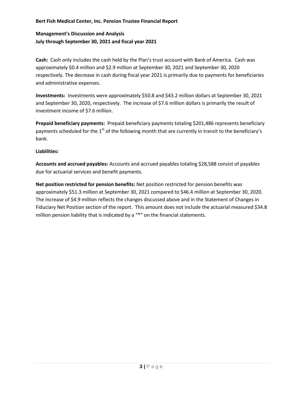# **Management's Discussion and Analysis July through September 30, 2021 and fiscal year 2021**

**Cash:** Cash only includes the cash held by the Plan's trust account with Bank of America. Cash was approximately \$0.4 million and \$2.9 million at September 30, 2021 and September 30, 2020 respectively. The decrease in cash during fiscal year 2021 is primarily due to payments for beneficiaries and administrative expenses.

**Investments:** Investments were approximately \$50.8 and \$43.2 million dollars at September 30, 2021 and September 30, 2020, respectively. The increase of \$7.6 million dollars is primarily the result of investment income of \$7.6 million.

**Prepaid beneficiary payments:** Prepaid beneficiary payments totaling \$201,486 represents beneficiary payments scheduled for the 1<sup>st</sup> of the following month that are currently in transit to the beneficiary's bank.

#### **Liabilities:**

**Accounts and accrued payables:** Accounts and accrued payables totaling \$28,588 consist of payables due for actuarial services and benefit payments.

**Net position restricted for pension benefits:** Net position restricted for pension benefits was approximately \$51.3 million at September 30, 2021 compared to \$46.4 million at September 30, 2020. The increase of \$4.9 million reflects the changes discussed above and in the Statement of Changes in Fiduciary Net Position section of the report. This amount does not include the actuarial measured \$34.8 million pension liability that is indicated by a "\*" on the financial statements.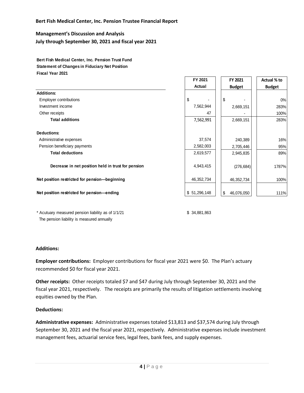**Management's Discussion and Analysis July through September 30, 2021 and fiscal year 2021**

**Bert Fish Medical Center, Inc. Pension Trust Fund Statement of Changes in Fiduciary Net Position Fiscal Year 2021**

|                                                    | FY 2021          | FY 2021          | Actual % to   |  |
|----------------------------------------------------|------------------|------------------|---------------|--|
|                                                    | Actual           | <b>Budget</b>    | <b>Budget</b> |  |
| <b>Additions:</b>                                  |                  |                  |               |  |
| <b>Employer contributions</b>                      | \$               | \$               | 0%            |  |
| Investment income                                  | 7,562,944        | 2,669,151        | 283%          |  |
| Other receipts                                     | 47               |                  | 100%          |  |
| <b>Total additions</b>                             | 7,562,991        | 2,669,151        | 283%          |  |
| <b>Deductions:</b>                                 |                  |                  |               |  |
| Administrative expenses                            | 37,574           | 240,389          | 16%           |  |
| Pension beneficiary payments                       | 2,582,003        | 2,705,446        | 95%           |  |
| <b>Total deductions</b>                            | 2,619,577        | 2,945,835        | 89%           |  |
| Decrease in net position held in trust for pension | 4,943,415        | (276, 684)       | 1787%         |  |
| Net position restricted for pension-beginning      | 46, 352, 734     | 46,352,734       | 100%          |  |
| Net position restricted for pension-ending         | 51,296,148<br>\$ | \$<br>46,076,050 | 111%          |  |

\* Acutuary measured pension liability as of 1/1/21 \$ 34,881,863 The pension liability is measured annually

#### **Additions:**

**Employer contributions:** Employer contributions for fiscal year 2021 were \$0. The Plan's actuary recommended \$0 for fiscal year 2021.

**Other receipts:** Other receipts totaled \$7 and \$47 during July through September 30, 2021 and the fiscal year 2021, respectively. The receipts are primarily the results of litigation settlements involving equities owned by the Plan.

#### **Deductions:**

**Administrative expenses:** Administrative expenses totaled \$13,813 and \$37,574 during July through September 30, 2021 and the fiscal year 2021, respectively. Administrative expenses include investment management fees, actuarial service fees, legal fees, bank fees, and supply expenses.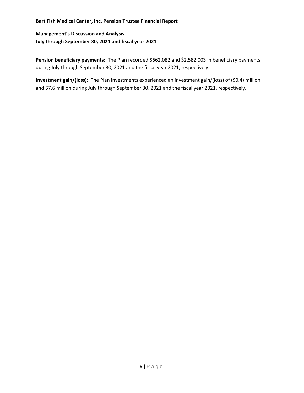# **Management's Discussion and Analysis July through September 30, 2021 and fiscal year 2021**

Pension beneficiary payments: The Plan recorded \$662,082 and \$2,582,003 in beneficiary payments during July through September 30, 2021 and the fiscal year 2021, respectively.

**Investment gain/(loss):** The Plan investments experienced an investment gain/(loss) of (\$0.4) million and \$7.6 million during July through September 30, 2021 and the fiscal year 2021, respectively.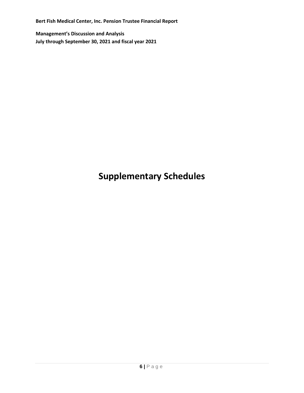**Management's Discussion and Analysis July through September 30, 2021 and fiscal year 2021**

# **Supplementary Schedules**